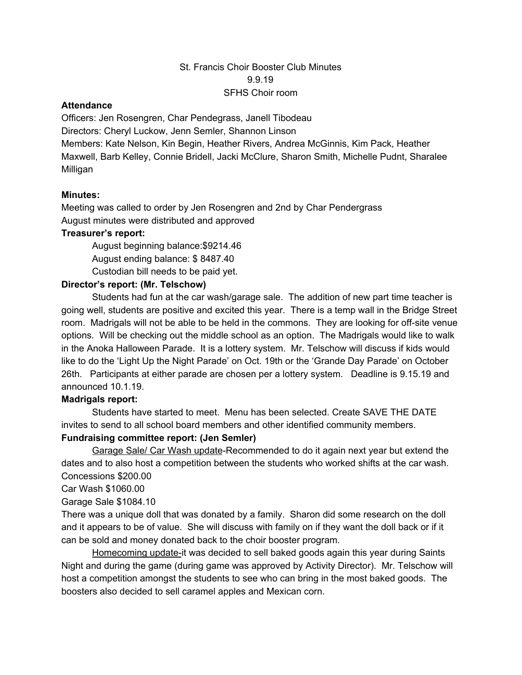# St. Francis Choir Booster Club Minutes 9.9.19 SFHS Choir room

#### **Attendance**

Officers: Jen Rosengren, Char Pendegrass, Janell Tibodeau Directors: Cheryl Luckow, Jenn Semler, Shannon Linson Members: Kate Nelson, Kin Begin, Heather Rivers, Andrea McGinnis, Kim Pack, Heather Maxwell, Barb Kelley, Connie Bridell, Jacki McClure, Sharon Smith, Michelle Pudnt, Sharalee Milligan

# **Minutes:**

Meeting was called to order by Jen Rosengren and 2nd by Char Pendergrass August minutes were distributed and approved

#### **Treasurer's report:**

August beginning balance:\$9214.46

August ending balance: \$ 8487.40

Custodian bill needs to be paid yet.

# **Director's report: (Mr. Telschow)**

Students had fun at the car wash/garage sale. The addition of new part time teacher is going well, students are positive and excited this year. There is a temp wall in the Bridge Street room. Madrigals will not be able to be held in the commons. They are looking for off-site venue options. Will be checking out the middle school as an option. The Madrigals would like to walk in the Anoka Halloween Parade. It is a lottery system. Mr. Telschow will discuss if kids would like to do the 'Light Up the Night Parade' on Oct. 19th or the 'Grande Day Parade' on October 26th. Participants at either parade are chosen per a lottery system. Deadline is 9.15.19 and announced 10.1.19.

#### **Madrigals report:**

Students have started to meet. Menu has been selected. Create SAVE THE DATE invites to send to all school board members and other identified community members.

# **Fundraising committee report: (Jen Semler)**

Garage Sale/ Car Wash update-Recommended to do it again next year but extend the dates and to also host a competition between the students who worked shifts at the car wash. Concessions \$200.00

Car Wash \$1060.00

Garage Sale \$1084.10

There was a unique doll that was donated by a family. Sharon did some research on the doll and it appears to be of value. She will discuss with family on if they want the doll back or if it can be sold and money donated back to the choir booster program.

Homecoming update-it was decided to sell baked goods again this year during Saints Night and during the game (during game was approved by Activity Director). Mr. Telschow will host a competition amongst the students to see who can bring in the most baked goods. The boosters also decided to sell caramel apples and Mexican corn.